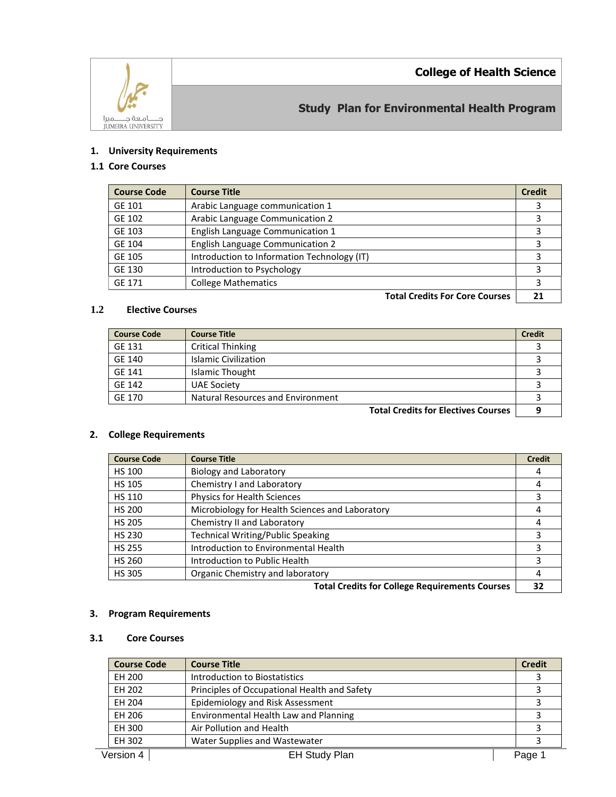**College of Health Science**



**Study Plan for Environmental Health Program**

### **1. University Requirements**

# **1.1 Core Courses**

| <b>Course Code</b> | <b>Course Title</b>                         | <b>Credit</b> |
|--------------------|---------------------------------------------|---------------|
| GE 101             | Arabic Language communication 1             |               |
| GE 102             | Arabic Language Communication 2             |               |
| GE 103             | English Language Communication 1            |               |
| GE 104             | <b>English Language Communication 2</b>     |               |
| GE 105             | Introduction to Information Technology (IT) |               |
| GE 130             | Introduction to Psychology                  |               |
| GE 171             | <b>College Mathematics</b>                  |               |
|                    | <b>Total Credits For Core Courses</b>       |               |

### **1.2 Elective Courses**

| <b>Course Code</b> | <b>Course Title</b>               | <b>Credit</b> |
|--------------------|-----------------------------------|---------------|
| GE 131             | <b>Critical Thinking</b>          |               |
| <b>GE 140</b>      | <b>Islamic Civilization</b>       |               |
| GE 141             | Islamic Thought                   |               |
| GE 142             | <b>UAE Society</b>                |               |
| <b>GE 170</b>      | Natural Resources and Environment |               |
|                    | .<br>_ _ _                        |               |

**Total Credits for Electives Courses 9**

# **2. College Requirements**

| <b>Course Code</b> | <b>Course Title</b>                             | <b>Credit</b> |
|--------------------|-------------------------------------------------|---------------|
| <b>HS 100</b>      | <b>Biology and Laboratory</b>                   | 4             |
| <b>HS 105</b>      | Chemistry I and Laboratory                      |               |
| <b>HS 110</b>      | Physics for Health Sciences                     |               |
| <b>HS 200</b>      | Microbiology for Health Sciences and Laboratory |               |
| <b>HS 205</b>      | Chemistry II and Laboratory                     | 4             |
| <b>HS 230</b>      | <b>Technical Writing/Public Speaking</b>        |               |
| <b>HS 255</b>      | Introduction to Environmental Health            |               |
| <b>HS 260</b>      | Introduction to Public Health                   |               |
| <b>HS 305</b>      | Organic Chemistry and laboratory                |               |
|                    |                                                 |               |

Total Credits for College Requirements Courses | 32 |

## **3. Program Requirements**

### **3.1 Core Courses**

| <b>Course Code</b> | <b>Course Title</b>                          | <b>Credit</b> |
|--------------------|----------------------------------------------|---------------|
| EH 200             | Introduction to Biostatistics                |               |
| EH 202             | Principles of Occupational Health and Safety |               |
| EH 204             | Epidemiology and Risk Assessment             |               |
| EH 206             | Environmental Health Law and Planning        |               |
| EH 300             | Air Pollution and Health                     |               |
| EH 302             | Water Supplies and Wastewater                |               |
| Version 4          | <b>EH Study Plan</b>                         | Page 1        |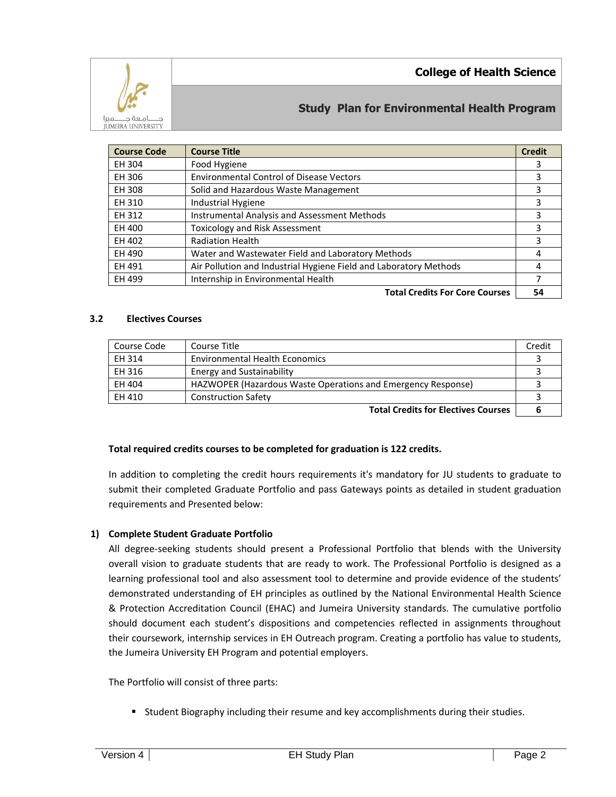

# **Study Plan for Environmental Health Program**

| <b>Course Code</b> | <b>Course Title</b>                                               | <b>Credit</b> |
|--------------------|-------------------------------------------------------------------|---------------|
| EH 304             | Food Hygiene                                                      | 3             |
| EH 306             | <b>Environmental Control of Disease Vectors</b>                   | 3             |
| EH 308             | Solid and Hazardous Waste Management                              | 3             |
| EH 310             | Industrial Hygiene                                                | 3             |
| EH 312             | Instrumental Analysis and Assessment Methods                      | 3             |
| EH 400             | <b>Toxicology and Risk Assessment</b>                             | 3             |
| EH 402             | <b>Radiation Health</b>                                           | 3             |
| EH 490             | Water and Wastewater Field and Laboratory Methods                 | 4             |
| EH 491             | Air Pollution and Industrial Hygiene Field and Laboratory Methods | 4             |
| EH 499             | Internship in Environmental Health                                |               |
|                    | <b>Total Credits For Core Courses</b>                             | 54            |

### **3.2 Electives Courses**

| Course Code | Course Title                                                 | Credit |
|-------------|--------------------------------------------------------------|--------|
| EH 314      | <b>Environmental Health Economics</b>                        |        |
| EH 316      | <b>Energy and Sustainability</b>                             |        |
| EH 404      | HAZWOPER (Hazardous Waste Operations and Emergency Response) |        |
| EH 410      | <b>Construction Safety</b>                                   |        |
|             |                                                              |        |

**Total Credits for Electives Courses 6**

### **Total required credits courses to be completed for graduation is 122 credits.**

In addition to completing the credit hours requirements it's mandatory for JU students to graduate to submit their completed Graduate Portfolio and pass Gateways points as detailed in student graduation requirements and Presented below:

### **1) Complete Student Graduate Portfolio**

All degree-seeking students should present a Professional Portfolio that blends with the University overall vision to graduate students that are ready to work. The Professional Portfolio is designed as a learning professional tool and also assessment tool to determine and provide evidence of the students' demonstrated understanding of EH principles as outlined by the National Environmental Health Science & Protection Accreditation Council (EHAC) and Jumeira University standards. The cumulative portfolio should document each student's dispositions and competencies reflected in assignments throughout their coursework, internship services in EH Outreach program. Creating a portfolio has value to students, the Jumeira University EH Program and potential employers.

The Portfolio will consist of three parts:

**Student Biography including their resume and key accomplishments during their studies.**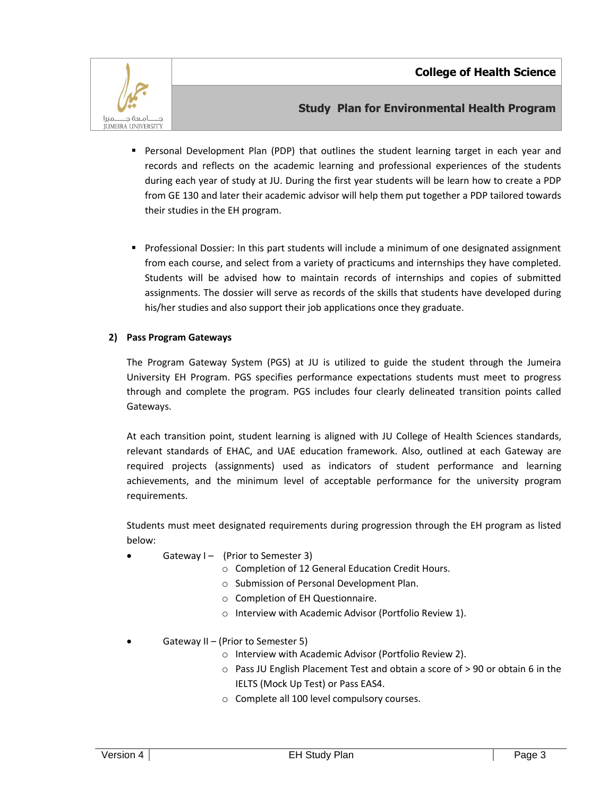

# **Study Plan for Environmental Health Program**

- Personal Development Plan (PDP) that outlines the student learning target in each year and records and reflects on the academic learning and professional experiences of the students during each year of study at JU. During the first year students will be learn how to create a PDP from GE 130 and later their academic advisor will help them put together a PDP tailored towards their studies in the EH program.
- Professional Dossier: In this part students will include a minimum of one designated assignment from each course, and select from a variety of practicums and internships they have completed. Students will be advised how to maintain records of internships and copies of submitted assignments. The dossier will serve as records of the skills that students have developed during his/her studies and also support their job applications once they graduate.

## **2) Pass Program Gateways**

The Program Gateway System (PGS) at JU is utilized to guide the student through the Jumeira University EH Program. PGS specifies performance expectations students must meet to progress through and complete the program. PGS includes four clearly delineated transition points called Gateways.

At each transition point, student learning is aligned with JU College of Health Sciences standards, relevant standards of EHAC, and UAE education framework. Also, outlined at each Gateway are required projects (assignments) used as indicators of student performance and learning achievements, and the minimum level of acceptable performance for the university program requirements.

Students must meet designated requirements during progression through the EH program as listed below:

- Gateway  $I -$  (Prior to Semester 3)
	- o Completion of 12 General Education Credit Hours.
	- o Submission of Personal Development Plan.
	- o Completion of EH Questionnaire.
	- o Interview with Academic Advisor (Portfolio Review 1).
- Gateway II (Prior to Semester 5)
	- o Interview with Academic Advisor (Portfolio Review 2).
	- o Pass JU English Placement Test and obtain a score of > 90 or obtain 6 in the IELTS (Mock Up Test) or Pass EAS4.
	- o Complete all 100 level compulsory courses.